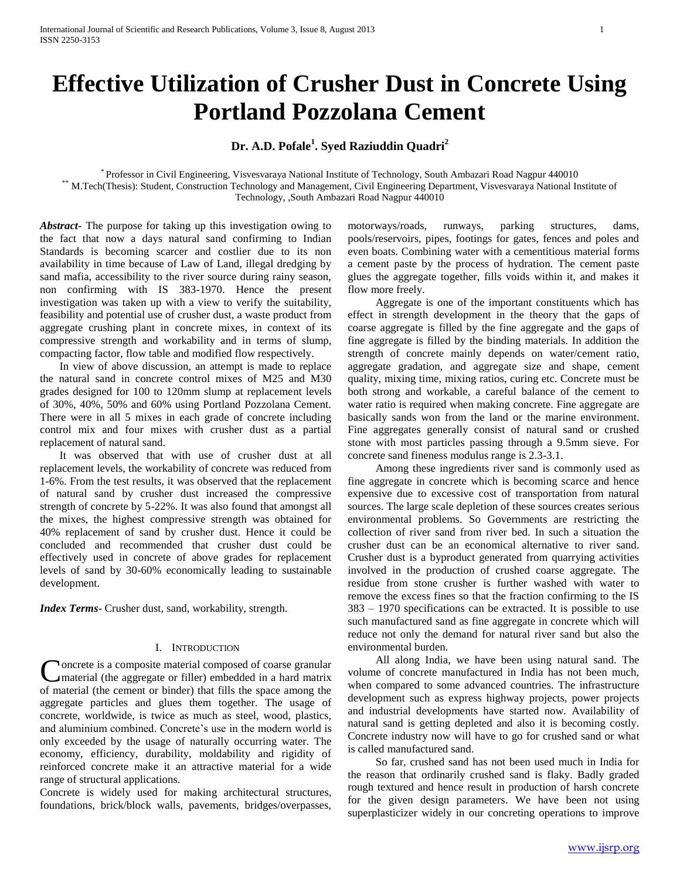# **Effective Utilization of Crusher Dust in Concrete Using Portland Pozzolana Cement**

# **Dr. A.D. Pofale<sup>1</sup> . Syed Raziuddin Quadri<sup>2</sup>**

\* Professor in Civil Engineering, Visvesvaraya National Institute of Technology, South Ambazari Road Nagpur 440010 \*\* M.Tech(Thesis): Student, Construction Technology and Management, Civil Engineering Department, Visvesvaraya National Institute of Technology, ,South Ambazari Road Nagpur 440010

*Abstract***-** The purpose for taking up this investigation owing to the fact that now a days natural sand confirming to Indian Standards is becoming scarcer and costlier due to its non availability in time because of Law of Land, illegal dredging by sand mafia, accessibility to the river source during rainy season, non confirming with IS 383-1970. Hence the present investigation was taken up with a view to verify the suitability, feasibility and potential use of crusher dust, a waste product from aggregate crushing plant in concrete mixes, in context of its compressive strength and workability and in terms of slump, compacting factor, flow table and modified flow respectively.

 In view of above discussion, an attempt is made to replace the natural sand in concrete control mixes of M25 and M30 grades designed for 100 to 120mm slump at replacement levels of 30%, 40%, 50% and 60% using Portland Pozzolana Cement. There were in all 5 mixes in each grade of concrete including control mix and four mixes with crusher dust as a partial replacement of natural sand.

 It was observed that with use of crusher dust at all replacement levels, the workability of concrete was reduced from 1-6%. From the test results, it was observed that the replacement of natural sand by crusher dust increased the compressive strength of concrete by 5-22%. It was also found that amongst all the mixes, the highest compressive strength was obtained for 40% replacement of sand by crusher dust. Hence it could be concluded and recommended that crusher dust could be effectively used in concrete of above grades for replacement levels of sand by 30-60% economically leading to sustainable development.

*Index Terms*- Crusher dust, sand, workability, strength.

#### I. INTRODUCTION

**Noncrete** is a composite material composed of coarse granular material (the aggregate or filler) embedded in a hard matrix Concrete is a composite material composed of coarse granular<br>material (the aggregate or filler) embedded in a hard matrix<br>of material (the cement or binder) that fills the space among the aggregate particles and glues them together. The usage of concrete, worldwide, is twice as much as steel, wood, plastics, and aluminium combined. Concrete's use in the modern world is only exceeded by the usage of naturally occurring water. The economy, efficiency, durability, moldability and rigidity of reinforced concrete make it an attractive material for a wide range of structural applications.

Concrete is widely used for making architectural structures, foundations, brick/block walls, pavements, bridges/overpasses, motorways/roads, runways, parking structures, dams, pools/reservoirs, pipes, footings for gates, fences and poles and even boats. Combining water with a cementitious material forms a cement paste by the process of hydration. The cement paste glues the aggregate together, fills voids within it, and makes it flow more freely.

 Aggregate is one of the important constituents which has effect in strength development in the theory that the gaps of coarse aggregate is filled by the fine aggregate and the gaps of fine aggregate is filled by the binding materials. In addition the strength of concrete mainly depends on water/cement ratio, aggregate gradation, and aggregate size and shape, cement quality, mixing time, mixing ratios, curing etc. Concrete must be both strong and workable, a careful balance of the cement to water ratio is required when making concrete. Fine aggregate are basically sands won from the land or the marine environment. Fine aggregates generally consist of natural sand or crushed stone with most particles passing through a 9.5mm sieve. For concrete sand fineness modulus range is 2.3-3.1.

 Among these ingredients river sand is commonly used as fine aggregate in concrete which is becoming scarce and hence expensive due to excessive cost of transportation from natural sources. The large scale depletion of these sources creates serious environmental problems. So Governments are restricting the collection of river sand from river bed. In such a situation the crusher dust can be an economical alternative to river sand. Crusher dust is a byproduct generated from quarrying activities involved in the production of crushed coarse aggregate. The residue from stone crusher is further washed with water to remove the excess fines so that the fraction confirming to the IS 383 – 1970 specifications can be extracted. It is possible to use such manufactured sand as fine aggregate in concrete which will reduce not only the demand for natural river sand but also the environmental burden.

 All along India, we have been using natural sand. The volume of concrete manufactured in India has not been much, when compared to some advanced countries. The infrastructure development such as express highway projects, power projects and industrial developments have started now. Availability of natural sand is getting depleted and also it is becoming costly. Concrete industry now will have to go for crushed sand or what is called manufactured sand.

 So far, crushed sand has not been used much in India for the reason that ordinarily crushed sand is flaky. Badly graded rough textured and hence result in production of harsh concrete for the given design parameters. We have been not using superplasticizer widely in our concreting operations to improve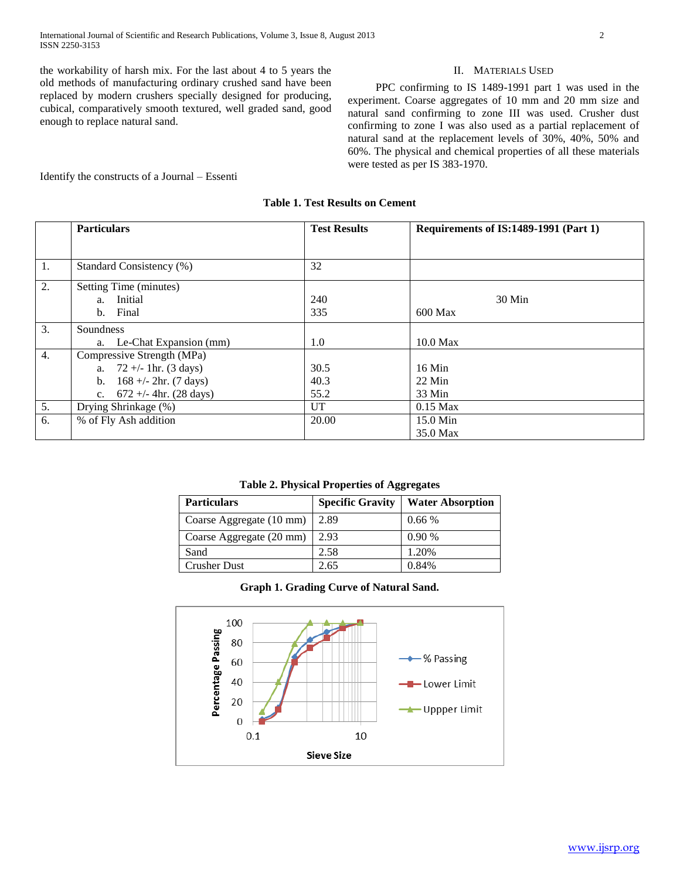the workability of harsh mix. For the last about 4 to 5 years the old methods of manufacturing ordinary crushed sand have been replaced by modern crushers specially designed for producing, cubical, comparatively smooth textured, well graded sand, good enough to replace natural sand.

#### II. MATERIALS USED

 PPC confirming to IS 1489-1991 part 1 was used in the experiment. Coarse aggregates of 10 mm and 20 mm size and natural sand confirming to zone III was used. Crusher dust confirming to zone I was also used as a partial replacement of natural sand at the replacement levels of 30%, 40%, 50% and 60%. The physical and chemical properties of all these materials were tested as per IS 383-1970.

Identify the constructs of a Journal – Essenti

## **Table 1. Test Results on Cement**

|    | <b>Particulars</b>                      | <b>Test Results</b> | Requirements of IS:1489-1991 (Part 1) |
|----|-----------------------------------------|---------------------|---------------------------------------|
|    |                                         |                     |                                       |
| 1. | Standard Consistency (%)                | 32                  |                                       |
| 2. | Setting Time (minutes)                  |                     |                                       |
|    | Initial<br>a.                           | 240                 | $30$ Min                              |
|    | Final<br>$\mathbf{b}$ .                 | 335                 | $600$ Max                             |
| 3. | Soundness                               |                     |                                       |
|    | a. Le-Chat Expansion (mm)               | 1.0                 | $10.0$ Max                            |
| 4. | Compressive Strength (MPa)              |                     |                                       |
|    | a. $72 + (-1)$ hr. (3 days)             | 30.5                | $16$ Min                              |
|    | $168 +/- 2hr. (7 days)$<br>$b_{1}$      | 40.3                | $22$ Min                              |
|    | $672 +/- 4hr. (28 days)$<br>$c_{\cdot}$ | 55.2                | 33 Min                                |
| 5. | Drying Shrinkage (%)                    | UT                  | $0.15$ Max                            |
| 6. | % of Fly Ash addition                   | 20.00               | 15.0 Min                              |
|    |                                         |                     | 35.0 Max                              |

#### **Table 2. Physical Properties of Aggregates**

| <b>Particulars</b>       | <b>Specific Gravity</b> | <b>Water Absorption</b> |
|--------------------------|-------------------------|-------------------------|
| Coarse Aggregate (10 mm) | 2.89                    | 0.66%                   |
| Coarse Aggregate (20 mm) | 2.93                    | 0.90%                   |
| Sand                     | 2.58                    | 1.20%                   |
| <b>Crusher Dust</b>      | 2.65                    | 0.84%                   |

### **Graph 1. Grading Curve of Natural Sand.**

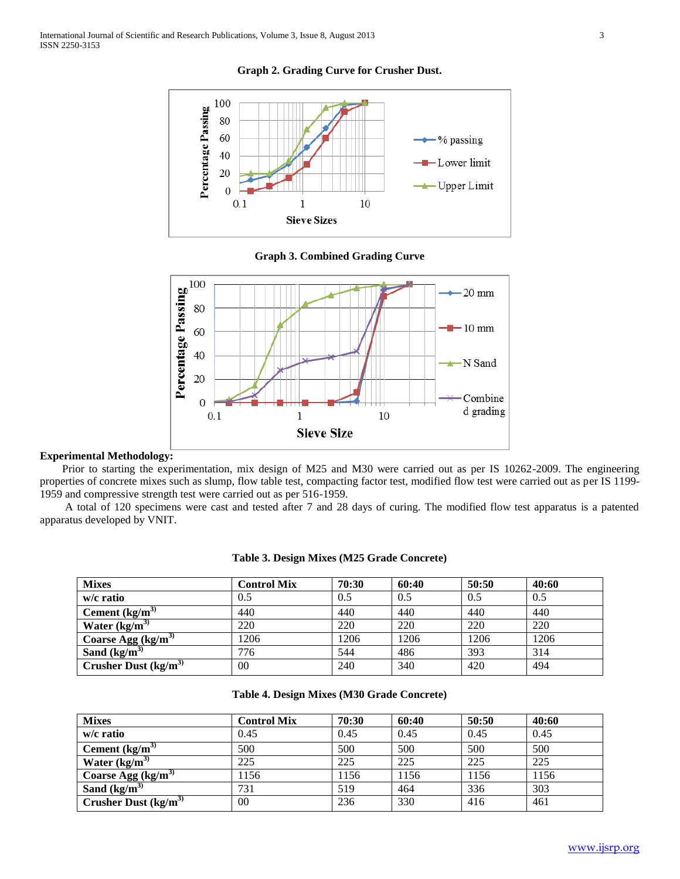

**Graph 2. Grading Curve for Crusher Dust.**

**Graph 3. Combined Grading Curve**



#### **Experimental Methodology:**

Prior to starting the experimentation, mix design of M25 and M30 were carried out as per IS 10262-2009. The engineering properties of concrete mixes such as slump, flow table test, compacting factor test, modified flow test were carried out as per IS 1199- 1959 and compressive strength test were carried out as per 516-1959.

A total of 120 specimens were cast and tested after 7 and 28 days of curing. The modified flow test apparatus is a patented apparatus developed by VNIT.

| <b>Mixes</b>                              | <b>Control Mix</b> | 70:30 | 60:40 | 50:50 | 40:60 |
|-------------------------------------------|--------------------|-------|-------|-------|-------|
| w/c ratio                                 | 0.5                | 0.5   | 0.5   | 0.5   | 0.5   |
| Cement $\frac{kg}{m^3}$                   | 440                | 440   | 440   | 440   | 440   |
| Water $(kg/m^3)$                          | 220                | 220   | 220   | 220   | 220   |
| Coarse Agg $\frac{\text{kg}}{\text{m}^3}$ | 1206               | 1206  | 1206  | 1206  | 1206  |
| Sand $(kg/m^3)$                           | 776                | 544   | 486   | 393   | 314   |
| Crusher Dust $(kg/m3)$                    | 00                 | 240   | 340   | 420   | 494   |

## **Table 3. Design Mixes (M25 Grade Concrete)**

## **Table 4. Design Mixes (M30 Grade Concrete)**

| <b>Mixes</b>                                | <b>Control Mix</b> | 70:30 | 60:40 | 50:50 | 40:60 |
|---------------------------------------------|--------------------|-------|-------|-------|-------|
| w/c ratio                                   | 0.45               | 0.45  | 0.45  | 0.45  | 0.45  |
| Cement $\frac{kg}{m^2}$                     | 500                | 500   | 500   | 500   | 500   |
| Water $(kg/m^3)$                            | 225                | 225   | 225   | 225   | 225   |
| Coarse Agg $\frac{\text{kg}}{\text{m}^3}$   | 1156               | 1156  | 1156  | 1156  | 1156  |
| Sand $(kg/m^3)$                             | 731                | 519   | 464   | 336   | 303   |
| Crusher Dust $\frac{\text{kg}}{\text{m}^3}$ | 00                 | 236   | 330   | 416   | 461   |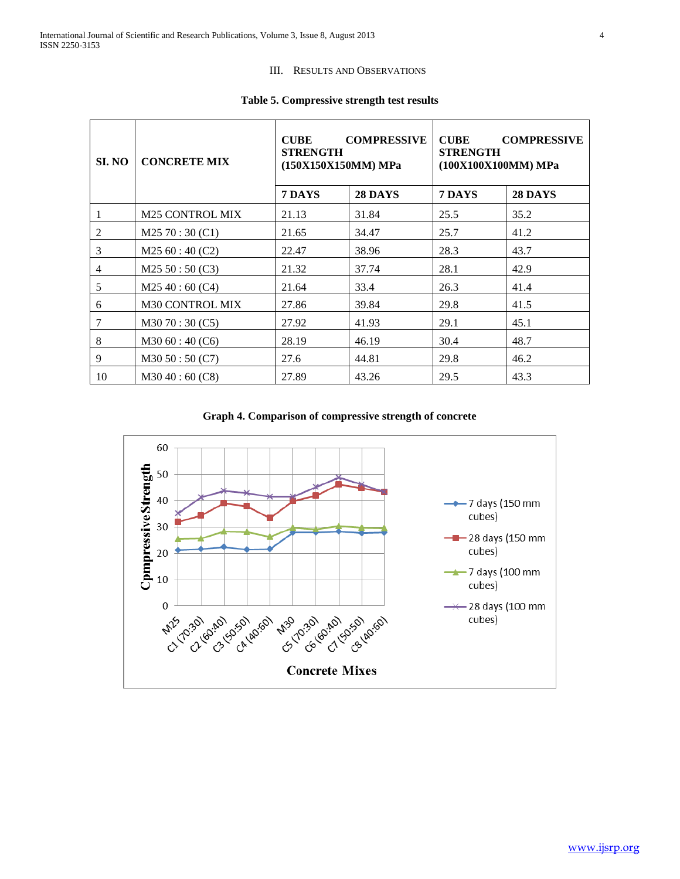## III. RESULTS AND OBSERVATIONS

| SI. NO         | <b>CONCRETE MIX</b>    | <b>COMPRESSIVE</b><br><b>CUBE</b><br><b>STRENGTH</b><br>(150X150X150MM) MPa |                | <b>COMPRESSIVE</b><br><b>CUBE</b><br><b>STRENGTH</b><br>(100X100X100MM) MPa |                |
|----------------|------------------------|-----------------------------------------------------------------------------|----------------|-----------------------------------------------------------------------------|----------------|
|                |                        | 7 DAYS                                                                      | <b>28 DAYS</b> | 7 DAYS                                                                      | <b>28 DAYS</b> |
| $\overline{1}$ | <b>M25 CONTROL MIX</b> | 21.13                                                                       | 31.84          | 25.5                                                                        | 35.2           |
| 2              | M2570:30(C1)           | 21.65                                                                       | 34.47          | 25.7                                                                        | 41.2           |
| 3              | M2560:40(C2)           | 22.47                                                                       | 38.96          | 28.3                                                                        | 43.7           |
| $\overline{4}$ | M25 50:50 (C3)         | 21.32                                                                       | 37.74          | 28.1                                                                        | 42.9           |
| 5              | M2540:60(C4)           | 21.64                                                                       | 33.4           | 26.3                                                                        | 41.4           |
| 6              | <b>M30 CONTROL MIX</b> | 27.86                                                                       | 39.84          | 29.8                                                                        | 41.5           |
| $\tau$         | M3070:30(C5)           | 27.92                                                                       | 41.93          | 29.1                                                                        | 45.1           |
| 8              | M3060:40(C6)           | 28.19                                                                       | 46.19          | 30.4                                                                        | 48.7           |
| 9              | M3050:50(C7)           | 27.6                                                                        | 44.81          | 29.8                                                                        | 46.2           |
| 10             | M3040:60(C8)           | 27.89                                                                       | 43.26          | 29.5                                                                        | 43.3           |

## **Table 5. Compressive strength test results**

**Graph 4. Comparison of compressive strength of concrete**

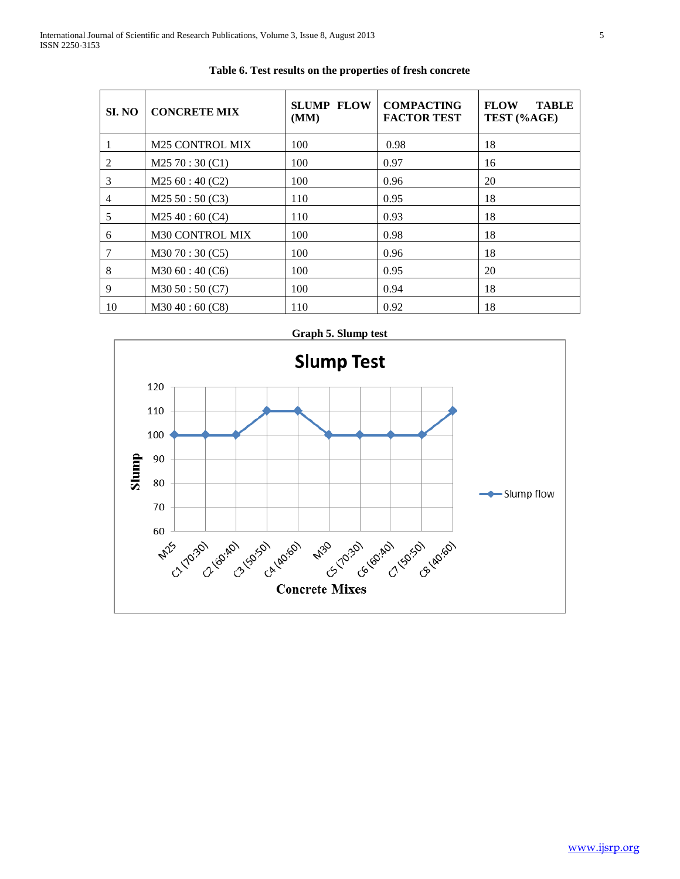| SI. NO         | <b>CONCRETE MIX</b>    | <b>SLUMP FLOW</b><br>(MM) | <b>COMPACTING</b><br><b>FACTOR TEST</b> | <b>FLOW</b><br><b>TABLE</b><br>TEST (%AGE) |
|----------------|------------------------|---------------------------|-----------------------------------------|--------------------------------------------|
|                | <b>M25 CONTROL MIX</b> | 100                       | 0.98                                    | 18                                         |
| 2              | M2570:30(C1)           | 100                       | 0.97                                    | 16                                         |
| 3              | M2560:40(C2)           | 100                       | 0.96                                    | 20                                         |
| $\overline{4}$ | M25 50:50 (C3)         | 110                       | 0.95                                    | 18                                         |
| 5              | M2540:60(C4)           | 110                       | 0.93                                    | 18                                         |
| 6              | <b>M30 CONTROL MIX</b> | 100                       | 0.98                                    | 18                                         |
| 7              | M30 70:30 (C5)         | 100                       | 0.96                                    | 18                                         |
| 8              | M3060:40(C6)           | 100                       | 0.95                                    | 20                                         |
| 9              | M3050:50(C7)           | 100                       | 0.94                                    | 18                                         |
| 10             | M3040:60(C8)           | 110                       | 0.92                                    | 18                                         |

**Table 6. Test results on the properties of fresh concrete**



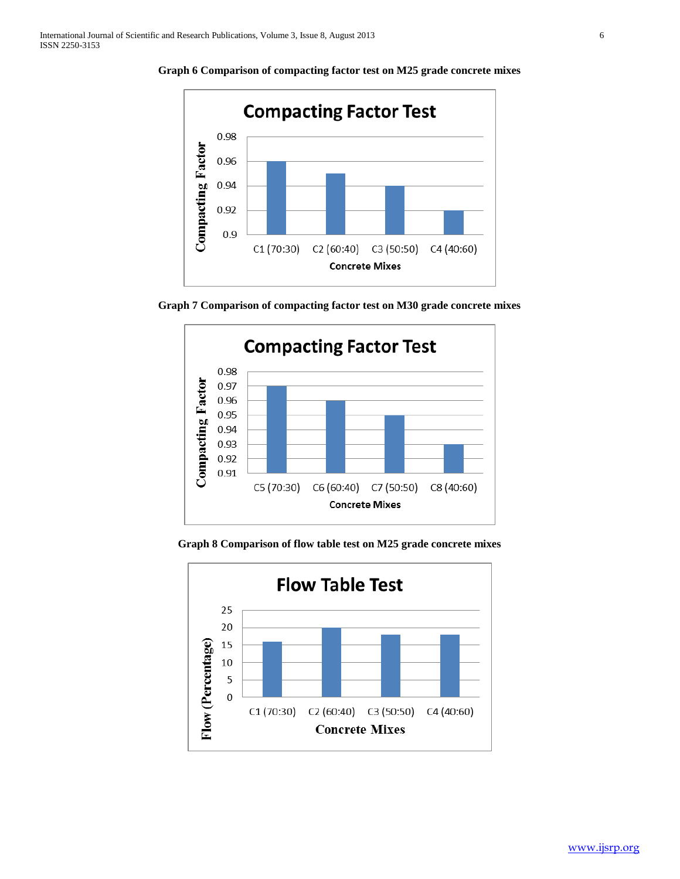

**Graph 6 Comparison of compacting factor test on M25 grade concrete mixes**

**Graph 7 Comparison of compacting factor test on M30 grade concrete mixes**



**Graph 8 Comparison of flow table test on M25 grade concrete mixes**

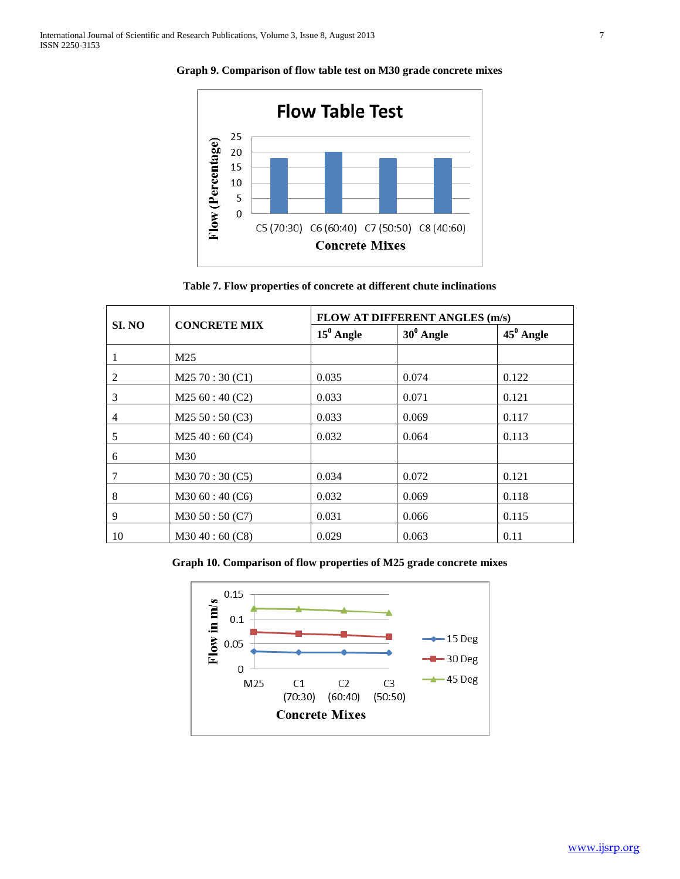

**Graph 9. Comparison of flow table test on M30 grade concrete mixes**

**Table 7. Flow properties of concrete at different chute inclinations**

|        | <b>CONCRETE MIX</b> | <b>FLOW AT DIFFERENT ANGLES (m/s)</b> |              |              |  |  |
|--------|---------------------|---------------------------------------|--------------|--------------|--|--|
| SI. NO |                     | $15^0$ Angle                          | $30^0$ Angle | $45^0$ Angle |  |  |
|        | M25                 |                                       |              |              |  |  |
| 2      | M2570:30(C1)        | 0.035                                 | 0.074        | 0.122        |  |  |
| 3      | M2560:40(C2)        | 0.033                                 | 0.071        | 0.121        |  |  |
| 4      | M25 50:50 (C3)      | 0.033                                 | 0.069        | 0.117        |  |  |
| 5      | M2540:60(C4)        | 0.032                                 | 0.064        | 0.113        |  |  |
| 6      | M30                 |                                       |              |              |  |  |
| 7      | M3070:30(C5)        | 0.034                                 | 0.072        | 0.121        |  |  |
| 8      | M3060:40(C6)        | 0.032                                 | 0.069        | 0.118        |  |  |
| 9      | M3050:50(C7)        | 0.031                                 | 0.066        | 0.115        |  |  |
| 10     | M3040:60(C8)        | 0.029                                 | 0.063        | 0.11         |  |  |

**Graph 10. Comparison of flow properties of M25 grade concrete mixes**

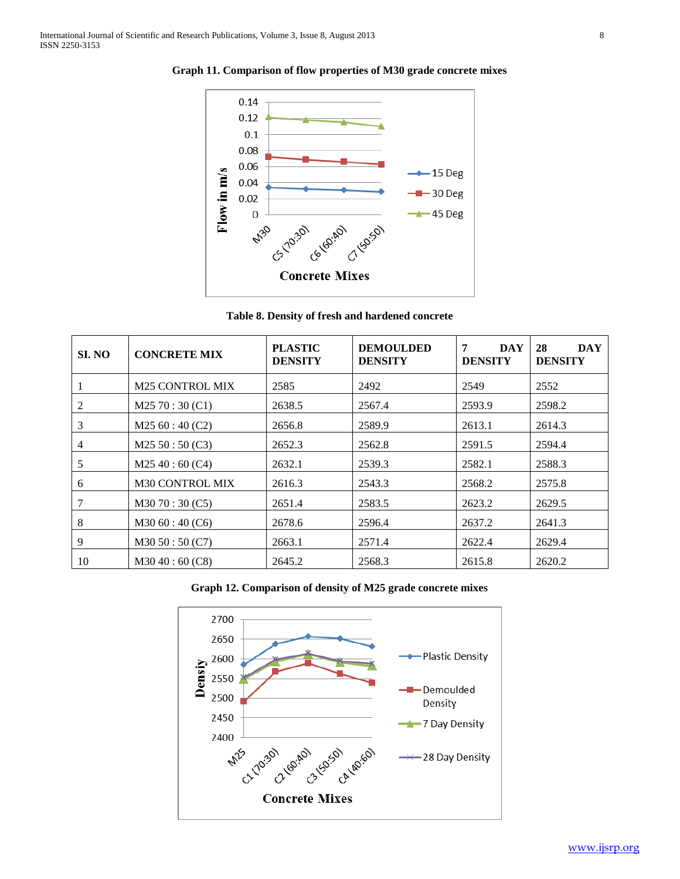

**Graph 11. Comparison of flow properties of M30 grade concrete mixes**

**Table 8. Density of fresh and hardened concrete**

| SI. NO | <b>CONCRETE MIX</b>    | <b>PLASTIC</b><br><b>DENSITY</b> | <b>DEMOULDED</b><br><b>DENSITY</b> | 7<br><b>DAY</b><br><b>DENSITY</b> | 28<br><b>DAY</b><br><b>DENSITY</b> |
|--------|------------------------|----------------------------------|------------------------------------|-----------------------------------|------------------------------------|
|        | <b>M25 CONTROL MIX</b> | 2585                             | 2492                               | 2549                              | 2552                               |
| 2      | M2570:30(C1)           | 2638.5                           | 2567.4                             | 2593.9                            | 2598.2                             |
| 3      | M2560:40(C2)           | 2656.8                           | 2589.9                             | 2613.1                            | 2614.3                             |
| 4      | M25 50:50 (C3)         | 2652.3                           | 2562.8                             | 2591.5                            | 2594.4                             |
| 5      | M2540:60(C4)           | 2632.1                           | 2539.3                             | 2582.1                            | 2588.3                             |
| 6      | <b>M30 CONTROL MIX</b> | 2616.3                           | 2543.3                             | 2568.2                            | 2575.8                             |
| 7      | M3070:30(C5)           | 2651.4                           | 2583.5                             | 2623.2                            | 2629.5                             |
| 8      | M3060:40(C6)           | 2678.6                           | 2596.4                             | 2637.2                            | 2641.3                             |
| 9      | M3050:50(C7)           | 2663.1                           | 2571.4                             | 2622.4                            | 2629.4                             |
| 10     | M3040:60(C8)           | 2645.2                           | 2568.3                             | 2615.8                            | 2620.2                             |



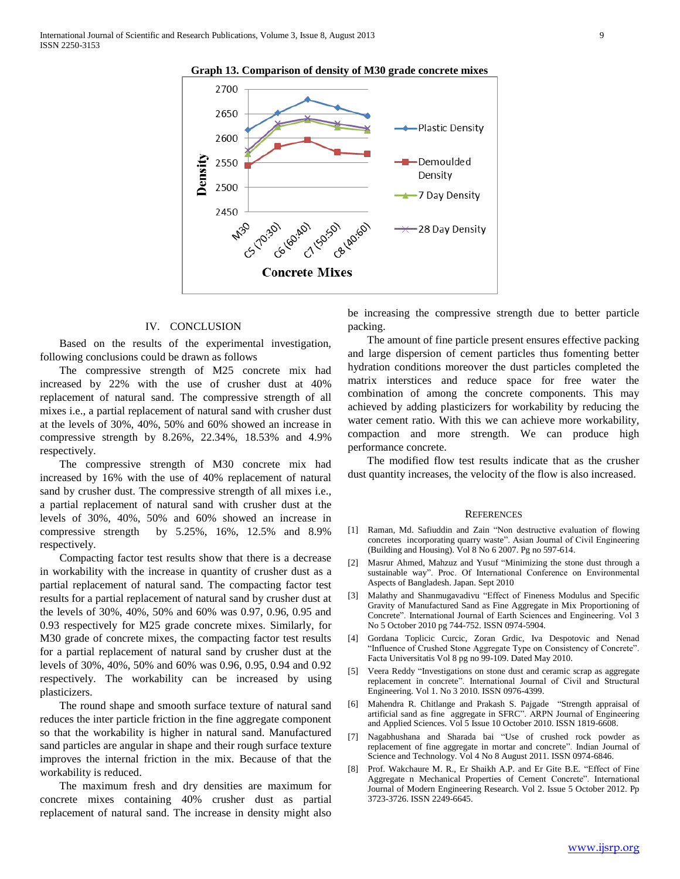

#### **Graph 13. Comparison of density of M30 grade concrete mixes**

#### IV. CONCLUSION

 Based on the results of the experimental investigation, following conclusions could be drawn as follows

 The compressive strength of M25 concrete mix had increased by 22% with the use of crusher dust at 40% replacement of natural sand. The compressive strength of all mixes i.e., a partial replacement of natural sand with crusher dust at the levels of 30%, 40%, 50% and 60% showed an increase in compressive strength by 8.26%, 22.34%, 18.53% and 4.9% respectively.

 The compressive strength of M30 concrete mix had increased by 16% with the use of 40% replacement of natural sand by crusher dust. The compressive strength of all mixes i.e., a partial replacement of natural sand with crusher dust at the levels of 30%, 40%, 50% and 60% showed an increase in compressive strength by 5.25%, 16%, 12.5% and 8.9% respectively.

 Compacting factor test results show that there is a decrease in workability with the increase in quantity of crusher dust as a partial replacement of natural sand. The compacting factor test results for a partial replacement of natural sand by crusher dust at the levels of 30%, 40%, 50% and 60% was 0.97, 0.96, 0.95 and 0.93 respectively for M25 grade concrete mixes. Similarly, for M30 grade of concrete mixes, the compacting factor test results for a partial replacement of natural sand by crusher dust at the levels of 30%, 40%, 50% and 60% was 0.96, 0.95, 0.94 and 0.92 respectively. The workability can be increased by using plasticizers.

 The round shape and smooth surface texture of natural sand reduces the inter particle friction in the fine aggregate component so that the workability is higher in natural sand. Manufactured sand particles are angular in shape and their rough surface texture improves the internal friction in the mix. Because of that the workability is reduced.

 The maximum fresh and dry densities are maximum for concrete mixes containing 40% crusher dust as partial replacement of natural sand. The increase in density might also be increasing the compressive strength due to better particle packing.

 The amount of fine particle present ensures effective packing and large dispersion of cement particles thus fomenting better hydration conditions moreover the dust particles completed the matrix interstices and reduce space for free water the combination of among the concrete components. This may achieved by adding plasticizers for workability by reducing the water cement ratio. With this we can achieve more workability, compaction and more strength. We can produce high performance concrete.

 The modified flow test results indicate that as the crusher dust quantity increases, the velocity of the flow is also increased.

#### **REFERENCES**

- [1] Raman, Md. Safiuddin and Zain "Non destructive evaluation of flowing concretes incorporating quarry waste". Asian Journal of Civil Engineering (Building and Housing). Vol 8 No 6 2007. Pg no 597-614.
- [2] Masrur Ahmed, Mahzuz and Yusuf "Minimizing the stone dust through a sustainable way". Proc. Of International Conference on Environmental Aspects of Bangladesh. Japan. Sept 2010
- [3] Malathy and Shanmugavadivu "Effect of Fineness Modulus and Specific Gravity of Manufactured Sand as Fine Aggregate in Mix Proportioning of Concrete". International Journal of Earth Sciences and Engineering. Vol 3 No 5 October 2010 pg 744-752. ISSN 0974-5904.
- [4] Gordana Toplicic Curcic, Zoran Grdic, Iva Despotovic and Nenad "Influence of Crushed Stone Aggregate Type on Consistency of Concrete". Facta Universitatis Vol 8 pg no 99-109. Dated May 2010.
- [5] Veera Reddy "Investigations on stone dust and ceramic scrap as aggregate replacement in concrete". International Journal of Civil and Structural Engineering. Vol 1. No 3 2010. ISSN 0976-4399.
- [6] Mahendra R. Chitlange and Prakash S. Pajgade "Strength appraisal of artificial sand as fine aggregate in SFRC". ARPN Journal of Engineering and Applied Sciences. Vol 5 Issue 10 October 2010. ISSN 1819-6608.
- [7] Nagabhushana and Sharada bai "Use of crushed rock powder as replacement of fine aggregate in mortar and concrete". Indian Journal of Science and Technology. Vol 4 No 8 August 2011. ISSN 0974-6846.
- [8] Prof. Wakchaure M. R., Er Shaikh A.P. and Er Gite B.E. "Effect of Fine Aggregate n Mechanical Properties of Cement Concrete". International Journal of Modern Engineering Research. Vol 2. Issue 5 October 2012. Pp 3723-3726. ISSN 2249-6645.